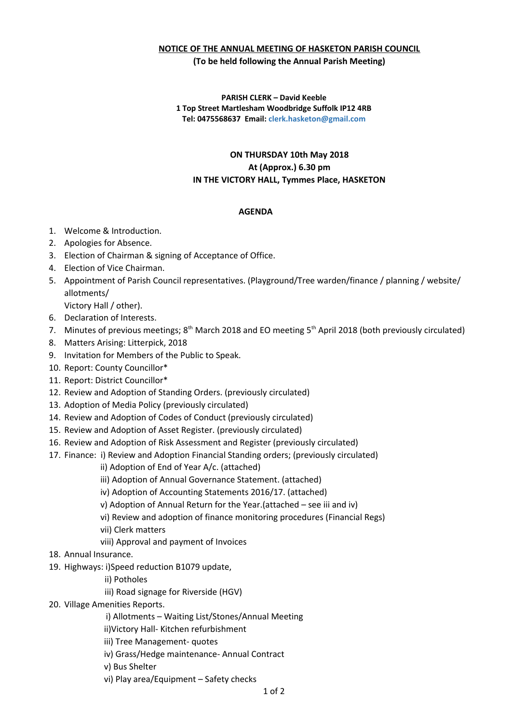# **NOTICE OF THE ANNUAL MEETING OF HASKETON PARISH COUNCIL**

### **(To be held following the Annual Parish Meeting)**

#### **PARISH CLERK – David Keeble 1 Top Street Martlesham Woodbridge Suffolk IP12 4RB Tel: 0475568637 Email: clerk.hasketon@gmail.com**

## **ON THURSDAY 10th May 2018 At (Approx.) 6.30 pm IN THE VICTORY HALL, Tymmes Place, HASKETON**

### **AGENDA**

- 1. Welcome & Introduction.
- 2. Apologies for Absence.
- 3. Election of Chairman & signing of Acceptance of Office.
- 4. Election of Vice Chairman.
- 5. Appointment of Parish Council representatives. (Playground/Tree warden/finance / planning / website/ allotments/

Victory Hall / other).

- 6. Declaration of Interests.
- 7. Minutes of previous meetings; 8<sup>th</sup> March 2018 and EO meeting 5<sup>th</sup> April 2018 (both previously circulated)
- 8. Matters Arising: Litterpick, 2018
- 9. Invitation for Members of the Public to Speak.
- 10. Report: County Councillor\*
- 11. Report: District Councillor\*
- 12. Review and Adoption of Standing Orders. (previously circulated)
- 13. Adoption of Media Policy (previously circulated)
- 14. Review and Adoption of Codes of Conduct (previously circulated)
- 15. Review and Adoption of Asset Register. (previously circulated)
- 16. Review and Adoption of Risk Assessment and Register (previously circulated)
- 17. Finance: i) Review and Adoption Financial Standing orders; (previously circulated)
	- ii) Adoption of End of Year A/c. (attached)
	- iii) Adoption of Annual Governance Statement. (attached)
	- iv) Adoption of Accounting Statements 2016/17. (attached)
	- v) Adoption of Annual Return for the Year.(attached see iii and iv)
	- vi) Review and adoption of finance monitoring procedures (Financial Regs)
	- vii) Clerk matters
	- viii) Approval and payment of Invoices
- 18. Annual Insurance.
- 19. Highways: i)Speed reduction B1079 update,
	- ii) Potholes
	- iii) Road signage for Riverside (HGV)
- 20. Village Amenities Reports.
	- i) Allotments Waiting List/Stones/Annual Meeting
	- ii)Victory Hall- Kitchen refurbishment
	- iii) Tree Management- quotes
	- iv) Grass/Hedge maintenance- Annual Contract
	- v) Bus Shelter
	- vi) Play area/Equipment Safety checks